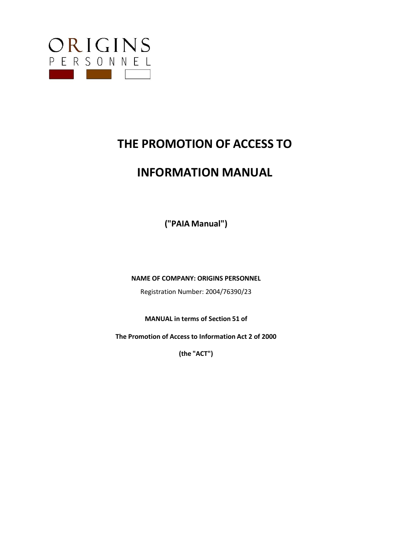

# **THE PROMOTION OF ACCESS TO**

# **INFORMATION MANUAL**

**("PAIA Manual")**

**NAME OF COMPANY: ORIGINS PERSONNEL**

Registration Number: 2004/76390/23

**MANUAL in terms of Section 51 of**

**The Promotion of Access to Information Act 2 of 2000**

**(the "ACT")**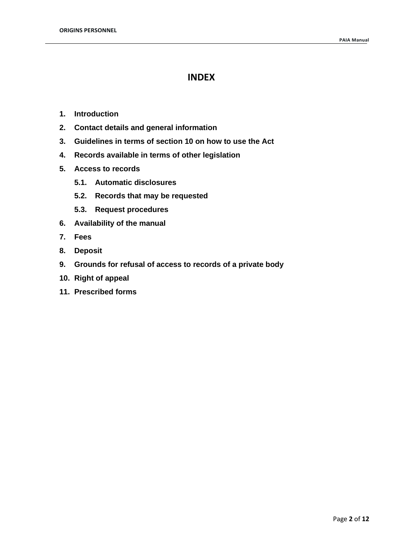# **INDEX**

- **1. Introduction**
- **2. Contact details and general information**
- **3. Guidelines in terms of section 10 on how to use the Act**
- **4. Records available in terms of other legislation**
- **5. Access to records**
	- **5.1. Automatic disclosures**
	- **5.2. Records that may be requested**
	- **5.3. Request procedures**
- **6. Availability of the manual**
- **7. Fees**
- **8. Deposit**
- **9. Grounds for refusal of access to records of a private body**
- **10. Right of appeal**
- **11. Prescribed forms**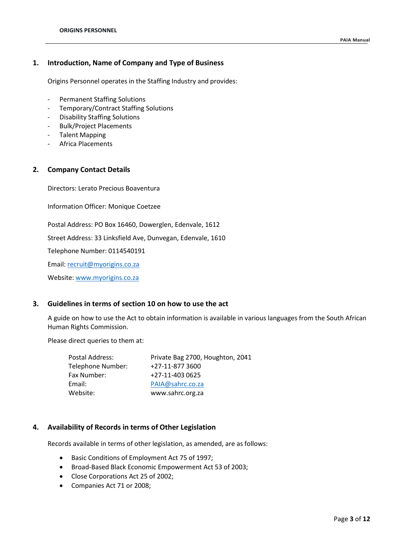# **1. Introduction, Name of Company and Type of Business**

Origins Personnel operates in the Staffing Industry and provides:

- Permanent Staffing Solutions
- Temporary/Contract Staffing Solutions
- Disability Staffing Solutions
- Bulk/Project Placements
- Talent Mapping
- Africa Placements

# **2. Company Contact Details**

Directors: Lerato Precious Boaventura

Information Officer: Monique Coetzee

Postal Address: PO Box 16460, Dowerglen, Edenvale, 1612

Street Address: 33 Linksfield Ave, Dunvegan, Edenvale, 1610

Telephone Number: 0114540191

Email: [recruit@myorigins.co.za](mailto:recruit@myorigins.co.za)

Website[: www.myorigins.co.za](http://www.myorigins.co.za/)

# **3. Guidelines in terms of section 10 on how to use the act**

A guide on how to use the Act to obtain information is available in various languages from the South African Human Rights Commission.

Please direct queries to them at:

| Postal Address:   | Private Bag 2700, Houghton, 2041 |
|-------------------|----------------------------------|
| Telephone Number: | +27-11-877 3600                  |
| Fax Number:       | +27-11-403 0625                  |
| Email:            | PAIA@sahrc.co.za                 |
| Website:          | www.sahrc.org.za                 |
|                   |                                  |

# **4. Availability of Records in terms of Other Legislation**

Records available in terms of other legislation, as amended, are as follows:

- Basic Conditions of Employment Act 75 of 1997;
- Broad-Based Black Economic Empowerment Act 53 of 2003;
- Close Corporations Act 25 of 2002;
- Companies Act 71 or 2008;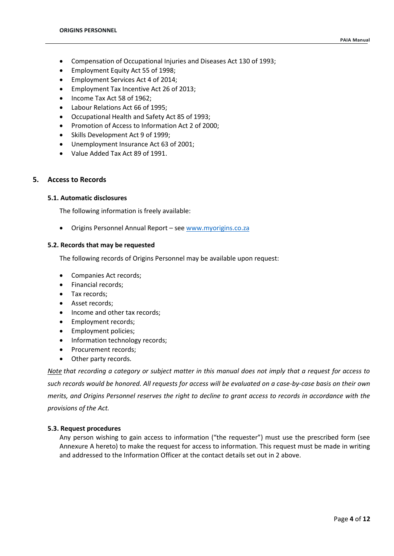- Compensation of Occupational Injuries and Diseases Act 130 of 1993;
- Employment Equity Act 55 of 1998;
- Employment Services Act 4 of 2014;
- Employment Tax Incentive Act 26 of 2013;
- Income Tax Act 58 of 1962;
- Labour Relations Act 66 of 1995;
- Occupational Health and Safety Act 85 of 1993;
- Promotion of Access to Information Act 2 of 2000;
- Skills Development Act 9 of 1999;
- Unemployment Insurance Act 63 of 2001;
- Value Added Tax Act 89 of 1991.

# **5. Access to Records**

#### **5.1. Automatic disclosures**

The following information is freely available:

• Origins Personnel Annual Report – see [www.myorigins.co.za](http://www.myorigins.co.za/)

#### **5.2. Records that may be requested**

The following records of Origins Personnel may be available upon request:

- Companies Act records;
- Financial records;
- Tax records;
- Asset records;
- Income and other tax records;
- Employment records;
- Employment policies;
- Information technology records;
- Procurement records;
- Other party records.

*Note that recording a category or subject matter in this manual does not imply that a request for access to such records would be honored. All requests for access will be evaluated on a case-by-case basis on their own merits, and Origins Personnel reserves the right to decline to grant access to records in accordance with the provisions of the Act.*

#### **5.3. Request procedures**

Any person wishing to gain access to information ("the requester") must use the prescribed form (see Annexure A hereto) to make the request for access to information. This request must be made in writing and addressed to the Information Officer at the contact details set out in 2 above.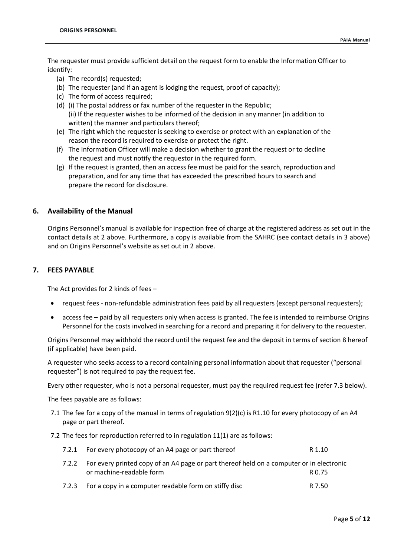The requester must provide sufficient detail on the request form to enable the Information Officer to identify:

- (a) The record(s) requested;
- (b) The requester (and if an agent is lodging the request, proof of capacity);
- (c) The form of access required;
- (d) (i) The postal address or fax number of the requester in the Republic; (ii) If the requester wishes to be informed of the decision in any manner (in addition to written) the manner and particulars thereof;
- (e) The right which the requester is seeking to exercise or protect with an explanation of the reason the record is required to exercise or protect the right.
- (f) The Information Officer will make a decision whether to grant the request or to decline the request and must notify the requestor in the required form.
- (g) If the request is granted, then an access fee must be paid for the search, reproduction and preparation, and for any time that has exceeded the prescribed hours to search and prepare the record for disclosure.

# **6. Availability of the Manual**

Origins Personnel's manual is available for inspection free of charge at the registered address as set out in the contact details at 2 above. Furthermore, a copy is available from the SAHRC (see contact details in 3 above) and on Origins Personnel's website as set out in 2 above.

# **7. FEES PAYABLE**

The Act provides for 2 kinds of fees –

- request fees non-refundable administration fees paid by all requesters (except personal requesters);
- access fee paid by all requesters only when access is granted. The fee is intended to reimburse Origins Personnel for the costs involved in searching for a record and preparing it for delivery to the requester.

Origins Personnel may withhold the record until the request fee and the deposit in terms of section 8 hereof (if applicable) have been paid.

A requester who seeks access to a record containing personal information about that requester ("personal requester") is not required to pay the request fee.

Every other requester, who is not a personal requester, must pay the required request fee (refer 7.3 below).

The fees payable are as follows:

- 7.1 The fee for a copy of the manual in terms of regulation 9(2)(c) is R1.10 for every photocopy of an A4 page or part thereof.
- 7.2 The fees for reproduction referred to in regulation 11(1) are as follows:

|       | 7.2.1 For every photocopy of an A4 page or part thereof                                                              | R 1.10 |
|-------|----------------------------------------------------------------------------------------------------------------------|--------|
| 7.2.2 | For every printed copy of an A4 page or part thereof held on a computer or in electronic<br>or machine-readable form | R 0.75 |
| 7.2.3 | For a copy in a computer readable form on stiffy disc                                                                | R 7.50 |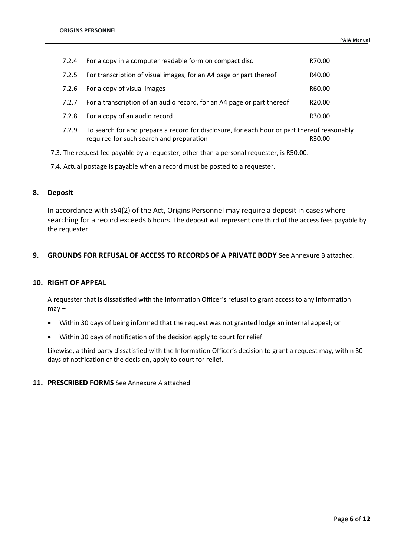| 7.2.4 | For a copy in a computer readable form on compact disc                 |                    |
|-------|------------------------------------------------------------------------|--------------------|
| 7.2.5 | For transcription of visual images, for an A4 page or part thereof     | R40.00             |
| 7.2.6 | For a copy of visual images                                            | R60.00             |
| 7.2.7 | For a transcription of an audio record, for an A4 page or part thereof | R <sub>20.00</sub> |
| 7.2.8 | For a copy of an audio record                                          | R30.00             |

- 7.2.9 To search for and prepare a record for disclosure, for each hour or part thereof reasonably required for such search and preparation R30.00
- 7.3. The request fee payable by a requester, other than a personal requester, is R50.00.
- 7.4. Actual postage is payable when a record must be posted to a requester.

# **8. Deposit**

In accordance with s54(2) of the Act, Origins Personnel may require a deposit in cases where searching for a record exceeds 6 hours. The deposit will represent one third of the access fees payable by the requester.

# **9. GROUNDS FOR REFUSAL OF ACCESS TO RECORDS OF A PRIVATE BODY** See Annexure B attached.

# **10. RIGHT OF APPEAL**

A requester that is dissatisfied with the Information Officer's refusal to grant access to any information  $may -$ 

- Within 30 days of being informed that the request was not granted lodge an internal appeal; or
- Within 30 days of notification of the decision apply to court for relief.

Likewise, a third party dissatisfied with the Information Officer's decision to grant a request may, within 30 days of notification of the decision, apply to court for relief.

# **11. PRESCRIBED FORMS** See Annexure A attached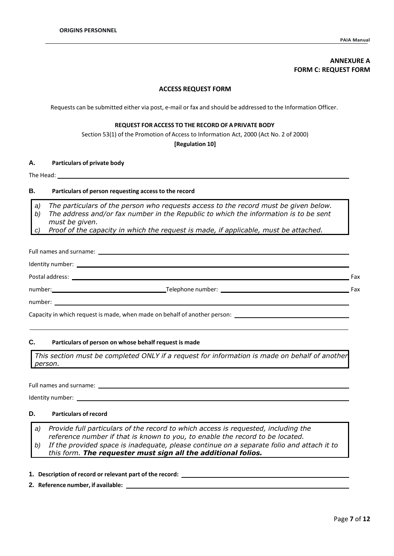# **ANNEXURE A FORM C: REQUEST FORM**

#### **ACCESS REQUEST FORM**

Requests can be submitted either via post, e-mail or fax and should be addressed to the Information Officer.

#### **REQUEST FOR ACCESS TO THE RECORD OF A PRIVATE BODY**

Section 53(1) of the Promotion of Access to Information Act, 2000 (Act No. 2 of 2000)

**[Regulation 10]**

#### **A. Particulars of private body**

The Head: \_\_\_\_\_\_

# **B. Particulars of person requesting accessto the record**

*a) The particulars of the person who requests access to the record must be given below.*

- *b) The address and/or fax number in the Republic to which the information is to be sent*
- *must be given. c) Proof of the capacity in which the request is made, if applicable, must be attached.*

| Fax |
|-----|
| Fax |
|     |
|     |

Capacity in which request is made, when made on behalf of another person:

# **C. Particulars of person on whose behalf request is made**

*This section must be completed ONLY if a request for information is made on behalf of another person.*

Full names and surname:

Identity number:

# **D. Particulars of record**

*a) Provide full particulars of the record to which access is requested, including the reference number if that is known to you, to enable the record to be located. b) If the provided space is inadequate, please continue on a separate folio and attach it to*

*this form. The requester must sign all the additional folios.*

**1. Description of record or relevant part of the record:** 

**2. Reference number, if available:**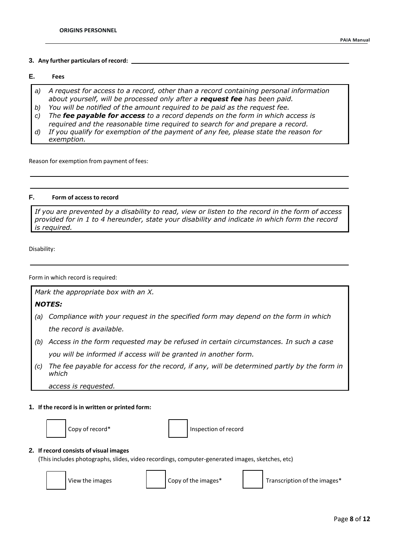#### **3. Any further particulars of record:**

# **E. Fees**

- *a) A request for access to a record, other than a record containing personal information about yourself, will be processed only after a request fee has been paid.*
- *b) You will be notified of the amount required to be paid as the request fee.*
- *c) The fee payable for access to a record depends on the form in which access is required and the reasonable time required to search for and prepare a record.*
- *d) If you qualify for exemption of the payment of any fee, please state the reason for exemption.*

Reason for exemption from payment of fees:

# **F. Form of access to record**

If you are prevented by a disability to read, view or listen to the record in the form of access *provided for in 1 to 4 hereunder, state your disability and indicate in which form the record is required.*

Disability:

Form in which record is required:

*Mark the appropriate box with an X.*

# *NOTES:*

- *(a) Compliance with your request in the specified form may depend on the form in which the record is available.*
- *(b) Access in the form requested may be refused in certain circumstances. In such a case you will be informed if access will be granted in another form.*
- (c) The fee payable for access for the record, if any, will be determined partly by the form in *which*

*access is requested.*

#### **1. If the record is in written or printed form:**



Copy of record<sup>\*</sup> The Inspection of record

#### **2. If record consists of visual images**

(This includes photographs, slides, video recordings, computer-generated images, sketches, etc)



View the images Copy of the images\* Transcription of the images\*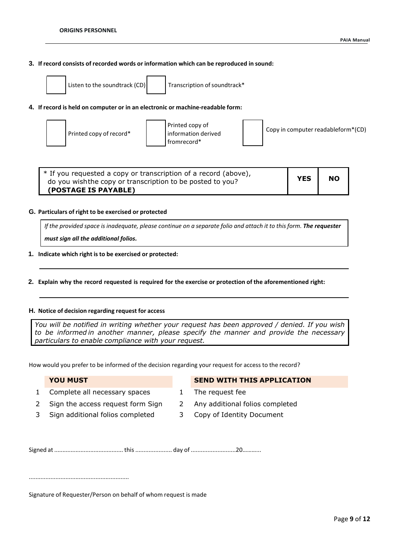# **3. If record consists of recorded words or information which can be reproduced in sound:**



Listen to the soundtrack (CD) Transcription of soundtrack\*

#### **4. If record is held on computer or in an electronic or machine-readable form:**



| * If you requested a copy or transcription of a record (above),<br>do you wish the copy or transcription to be posted to you? | <b>YES</b> | <b>NO</b> |
|-------------------------------------------------------------------------------------------------------------------------------|------------|-----------|
| (POSTAGE IS PAYABLE)                                                                                                          |            |           |

#### **G. Particulars of right to be exercised or protected**

If the provided space is inadequate, please continue on a separate folio and attach it to this form. The requester *must sign all the additional folios.*

- **1. Indicate which right is to be exercised or protected:**
- 2. Explain why the record requested is required for the exercise or protection of the aforementioned right:

#### **H. Notice of decision regarding request for access**

*You will be notified in writing whether your request has been approved / denied. If you wish to be informed in another manner, please specify the manner and provide the necessary particulars to enable compliance with your request.*

How would you prefer to be informed of the decision regarding your request for access to the record?

1 Complete all necessary spaces 1 The request fee

# **YOU MUST SEND WITH THIS APPLICATION**

- 
- 
- 
- 2 Sign the access request form Sign 2 Any additional folios completed
- 3 Sign additional folios completed 3 Copy of Identity Document

Signed at .......................................... this...................... day of ...........................20………...

............................................................

Signature of Requester/Person on behalf of whom request is made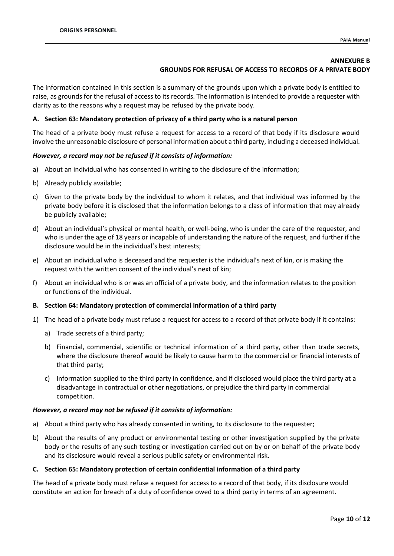# **ANNEXURE B GROUNDS FOR REFUSAL OF ACCESS TO RECORDS OF A PRIVATE BODY**

The information contained in this section is a summary of the grounds upon which a private body is entitled to raise, as grounds for the refusal of access to its records. The information is intended to provide a requester with clarity as to the reasons why a request may be refused by the private body.

# **A. Section 63: Mandatory protection of privacy of a third party who is a natural person**

The head of a private body must refuse a request for access to a record of that body if its disclosure would involve the unreasonable disclosure of personal information about a third party, including a deceased individual.

# *However, a record may not be refused if it consists of information:*

- a) About an individual who has consented in writing to the disclosure of the information;
- b) Already publicly available;
- c) Given to the private body by the individual to whom it relates, and that individual was informed by the private body before it is disclosed that the information belongs to a class of information that may already be publicly available;
- d) About an individual's physical or mental health, or well-being, who is under the care of the requester, and who is under the age of 18 years or incapable of understanding the nature of the request, and further if the disclosure would be in the individual's best interests;
- e) About an individual who is deceased and the requester is the individual's next of kin, or is making the request with the written consent of the individual's next of kin;
- f) About an individual who is or was an official of a private body, and the information relates to the position or functions of the individual.

#### **B. Section 64: Mandatory protection of commercial information of a third party**

- 1) The head of a private body must refuse a request for access to a record of that private body if it contains:
	- a) Trade secrets of a third party;
	- b) Financial, commercial, scientific or technical information of a third party, other than trade secrets, where the disclosure thereof would be likely to cause harm to the commercial or financial interests of that third party;
	- c) Information supplied to the third party in confidence, and if disclosed would place the third party at a disadvantage in contractual or other negotiations, or prejudice the third party in commercial competition.

#### *However, a record may not be refused if it consists of information:*

- a) About a third party who has already consented in writing, to its disclosure to the requester;
- b) About the results of any product or environmental testing or other investigation supplied by the private body or the results of any such testing or investigation carried out on by or on behalf of the private body and its disclosure would reveal a serious public safety or environmental risk.

#### **C. Section 65: Mandatory protection of certain confidential information of a third party**

The head of a private body must refuse a request for access to a record of that body, if its disclosure would constitute an action for breach of a duty of confidence owed to a third party in terms of an agreement.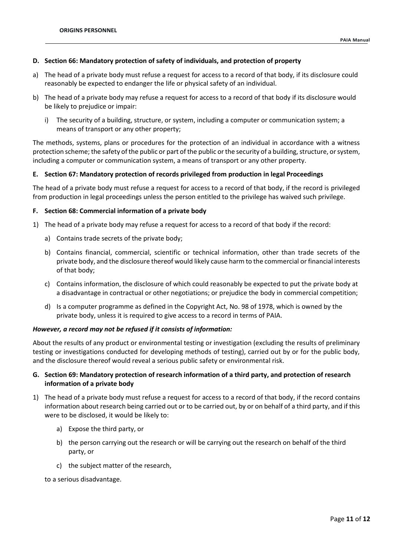# **D. Section 66: Mandatory protection of safety of individuals, and protection of property**

- a) The head of a private body must refuse a request for access to a record of that body, if its disclosure could reasonably be expected to endanger the life or physical safety of an individual.
- b) The head of a private body may refuse a request for access to a record of that body if its disclosure would be likely to prejudice or impair:
	- i) The security of a building, structure, or system, including a computer or communication system; a means of transport or any other property;

The methods, systems, plans or procedures for the protection of an individual in accordance with a witness protection scheme; the safety of the public or part of the public or the security of a building, structure, or system, including a computer or communication system, a means of transport or any other property.

#### **E. Section 67: Mandatory protection of records privileged from production in legal Proceedings**

The head of a private body must refuse a request for access to a record of that body, if the record is privileged from production in legal proceedings unless the person entitled to the privilege has waived such privilege.

#### **F. Section 68: Commercial information of a private body**

- 1) The head of a private body may refuse a request for access to a record of that body if the record:
	- a) Contains trade secrets of the private body;
	- b) Contains financial, commercial, scientific or technical information, other than trade secrets of the private body, and the disclosure thereof would likely cause harm to the commercial or financial interests of that body;
	- c) Contains information, the disclosure of which could reasonably be expected to put the private body at a disadvantage in contractual or other negotiations; or prejudice the body in commercial competition;
	- d) Is a computer programme as defined in the Copyright Act, No. 98 of 1978, which is owned by the private body, unless it is required to give access to a record in terms of PAIA.

#### *However, a record may not be refused if it consists of information:*

About the results of any product or environmental testing or investigation (excluding the results of preliminary testing or investigations conducted for developing methods of testing), carried out by or for the public body, and the disclosure thereof would reveal a serious public safety or environmental risk.

# **G. Section 69: Mandatory protection of research information of a third party, and protection of research information of a private body**

- 1) The head of a private body must refuse a request for access to a record of that body, if the record contains information about research being carried out or to be carried out, by or on behalf of a third party, and if this were to be disclosed, it would be likely to:
	- a) Expose the third party, or
	- b) the person carrying out the research or will be carrying out the research on behalf of the third party, or
	- c) the subject matter of the research,

to a serious disadvantage.